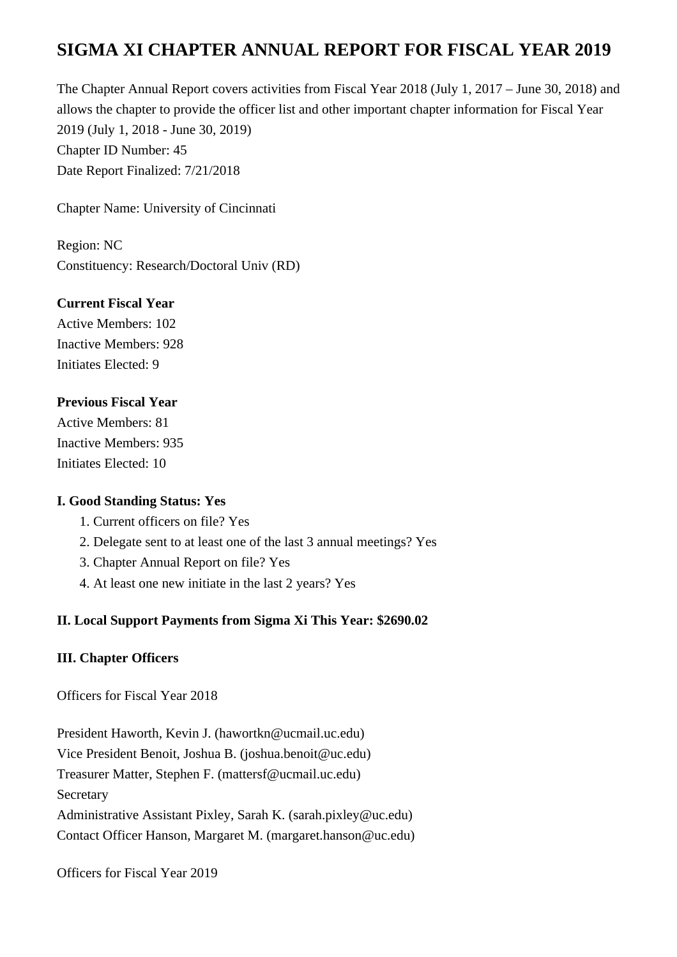# **SIGMA XI CHAPTER ANNUAL REPORT FOR FISCAL YEAR 2019**

The Chapter Annual Report covers activities from Fiscal Year 2018 (July 1, 2017 – June 30, 2018) and allows the chapter to provide the officer list and other important chapter information for Fiscal Year 2019 (July 1, 2018 - June 30, 2019) Chapter ID Number: 45 Date Report Finalized: 7/21/2018

Chapter Name: University of Cincinnati

Region: NC Constituency: Research/Doctoral Univ (RD)

### **Current Fiscal Year**

Active Members: 102 Inactive Members: 928 Initiates Elected: 9

### **Previous Fiscal Year**

Active Members: 81 Inactive Members: 935 Initiates Elected: 10

#### **I. Good Standing Status: Yes**

- 1. Current officers on file? Yes
- 2. Delegate sent to at least one of the last 3 annual meetings? Yes
- 3. Chapter Annual Report on file? Yes
- 4. At least one new initiate in the last 2 years? Yes

# **II. Local Support Payments from Sigma Xi This Year: \$2690.02**

# **III. Chapter Officers**

Officers for Fiscal Year 2018

President Haworth, Kevin J. (hawortkn@ucmail.uc.edu) Vice President Benoit, Joshua B. (joshua.benoit@uc.edu) Treasurer Matter, Stephen F. (mattersf@ucmail.uc.edu) **Secretary** Administrative Assistant Pixley, Sarah K. (sarah.pixley@uc.edu) Contact Officer Hanson, Margaret M. (margaret.hanson@uc.edu)

Officers for Fiscal Year 2019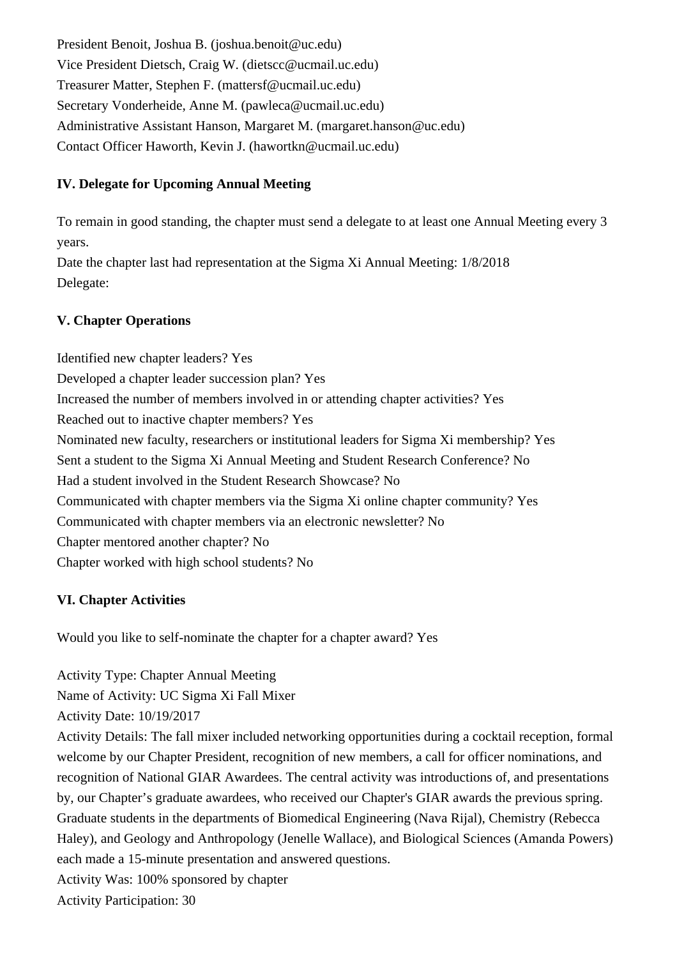President Benoit, Joshua B. (joshua.benoit@uc.edu) Vice President Dietsch, Craig W. (dietscc@ucmail.uc.edu) Treasurer Matter, Stephen F. (mattersf@ucmail.uc.edu) Secretary Vonderheide, Anne M. (pawleca@ucmail.uc.edu) Administrative Assistant Hanson, Margaret M. (margaret.hanson@uc.edu) Contact Officer Haworth, Kevin J. (hawortkn@ucmail.uc.edu)

## **IV. Delegate for Upcoming Annual Meeting**

To remain in good standing, the chapter must send a delegate to at least one Annual Meeting every 3 years.

Date the chapter last had representation at the Sigma Xi Annual Meeting: 1/8/2018 Delegate:

#### **V. Chapter Operations**

Identified new chapter leaders? Yes Developed a chapter leader succession plan? Yes Increased the number of members involved in or attending chapter activities? Yes Reached out to inactive chapter members? Yes Nominated new faculty, researchers or institutional leaders for Sigma Xi membership? Yes Sent a student to the Sigma Xi Annual Meeting and Student Research Conference? No Had a student involved in the Student Research Showcase? No Communicated with chapter members via the Sigma Xi online chapter community? Yes Communicated with chapter members via an electronic newsletter? No Chapter mentored another chapter? No Chapter worked with high school students? No

# **VI. Chapter Activities**

Would you like to self-nominate the chapter for a chapter award? Yes

Activity Type: Chapter Annual Meeting Name of Activity: UC Sigma Xi Fall Mixer

Activity Date: 10/19/2017

Activity Details: The fall mixer included networking opportunities during a cocktail reception, formal welcome by our Chapter President, recognition of new members, a call for officer nominations, and recognition of National GIAR Awardees. The central activity was introductions of, and presentations by, our Chapter's graduate awardees, who received our Chapter's GIAR awards the previous spring. Graduate students in the departments of Biomedical Engineering (Nava Rijal), Chemistry (Rebecca Haley), and Geology and Anthropology (Jenelle Wallace), and Biological Sciences (Amanda Powers) each made a 15-minute presentation and answered questions.

Activity Was: 100% sponsored by chapter Activity Participation: 30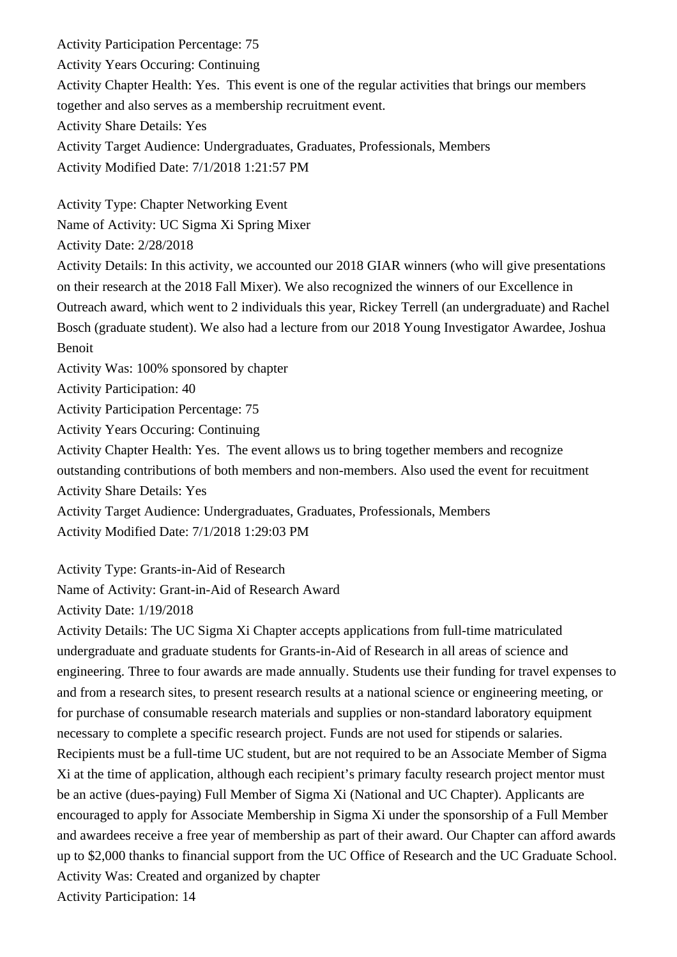Activity Participation Percentage: 75 Activity Years Occuring: Continuing Activity Chapter Health: Yes. This event is one of the regular activities that brings our members together and also serves as a membership recruitment event. Activity Share Details: Yes Activity Target Audience: Undergraduates, Graduates, Professionals, Members Activity Modified Date: 7/1/2018 1:21:57 PM Activity Type: Chapter Networking Event Name of Activity: UC Sigma Xi Spring Mixer Activity Date: 2/28/2018 Activity Details: In this activity, we accounted our 2018 GIAR winners (who will give presentations on their research at the 2018 Fall Mixer). We also recognized the winners of our Excellence in Outreach award, which went to 2 individuals this year, Rickey Terrell (an undergraduate) and Rachel Bosch (graduate student). We also had a lecture from our 2018 Young Investigator Awardee, Joshua Benoit Activity Was: 100% sponsored by chapter Activity Participation: 40 Activity Participation Percentage: 75 Activity Years Occuring: Continuing Activity Chapter Health: Yes. The event allows us to bring together members and recognize outstanding contributions of both members and non-members. Also used the event for recuitment Activity Share Details: Yes Activity Target Audience: Undergraduates, Graduates, Professionals, Members Activity Modified Date: 7/1/2018 1:29:03 PM

Activity Type: Grants-in-Aid of Research

Name of Activity: Grant-in-Aid of Research Award

Activity Date: 1/19/2018

Activity Details: The UC Sigma Xi Chapter accepts applications from full-time matriculated undergraduate and graduate students for Grants-in-Aid of Research in all areas of science and engineering. Three to four awards are made annually. Students use their funding for travel expenses to and from a research sites, to present research results at a national science or engineering meeting, or for purchase of consumable research materials and supplies or non-standard laboratory equipment necessary to complete a specific research project. Funds are not used for stipends or salaries. Recipients must be a full-time UC student, but are not required to be an Associate Member of Sigma Xi at the time of application, although each recipient's primary faculty research project mentor must be an active (dues-paying) Full Member of Sigma Xi (National and UC Chapter). Applicants are encouraged to apply for Associate Membership in Sigma Xi under the sponsorship of a Full Member and awardees receive a free year of membership as part of their award. Our Chapter can afford awards up to \$2,000 thanks to financial support from the UC Office of Research and the UC Graduate School. Activity Was: Created and organized by chapter Activity Participation: 14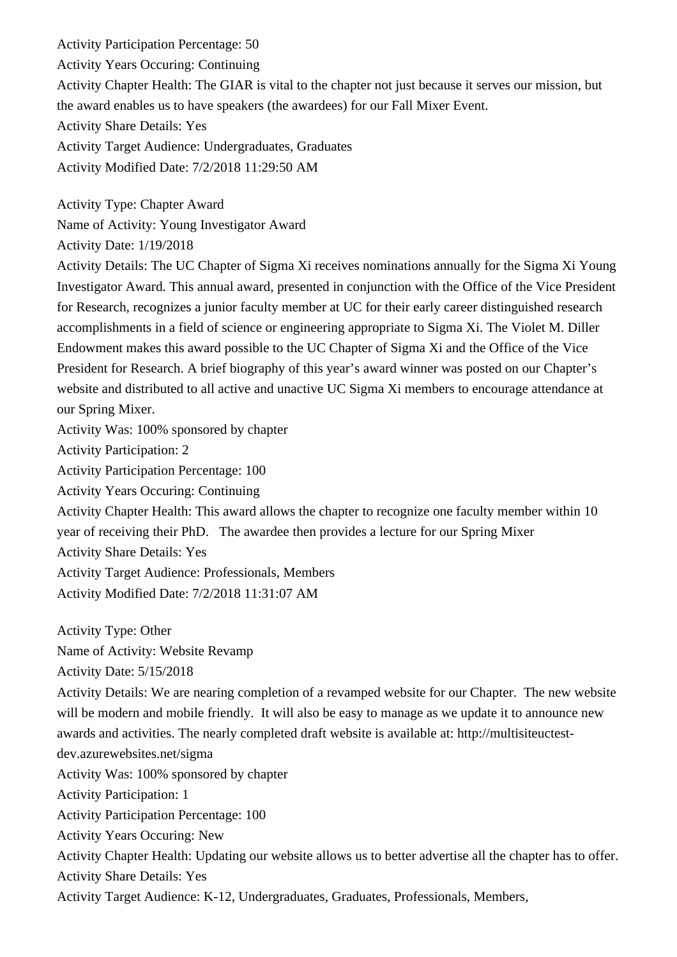Activity Participation Percentage: 50 Activity Years Occuring: Continuing Activity Chapter Health: The GIAR is vital to the chapter not just because it serves our mission, but the award enables us to have speakers (the awardees) for our Fall Mixer Event. Activity Share Details: Yes Activity Target Audience: Undergraduates, Graduates Activity Modified Date: 7/2/2018 11:29:50 AM Activity Type: Chapter Award Name of Activity: Young Investigator Award Activity Date: 1/19/2018 Activity Details: The UC Chapter of Sigma Xi receives nominations annually for the Sigma Xi Young Investigator Award. This annual award, presented in conjunction with the Office of the Vice President for Research, recognizes a junior faculty member at UC for their early career distinguished research accomplishments in a field of science or engineering appropriate to Sigma Xi. The Violet M. Diller Endowment makes this award possible to the UC Chapter of Sigma Xi and the Office of the Vice President for Research. A brief biography of this year's award winner was posted on our Chapter's website and distributed to all active and unactive UC Sigma Xi members to encourage attendance at our Spring Mixer. Activity Was: 100% sponsored by chapter Activity Participation: 2 Activity Participation Percentage: 100 Activity Years Occuring: Continuing Activity Chapter Health: This award allows the chapter to recognize one faculty member within 10 year of receiving their PhD. The awardee then provides a lecture for our Spring Mixer Activity Share Details: Yes Activity Target Audience: Professionals, Members Activity Modified Date: 7/2/2018 11:31:07 AM Activity Type: Other Name of Activity: Website Revamp Activity Date: 5/15/2018 Activity Details: We are nearing completion of a revamped website for our Chapter. The new website will be modern and mobile friendly. It will also be easy to manage as we update it to announce new awards and activities. The nearly completed draft website is available at: http://multisiteuctestdev.azurewebsites.net/sigma Activity Was: 100% sponsored by chapter Activity Participation: 1 Activity Participation Percentage: 100 Activity Years Occuring: New Activity Chapter Health: Updating our website allows us to better advertise all the chapter has to offer. Activity Share Details: Yes Activity Target Audience: K-12, Undergraduates, Graduates, Professionals, Members,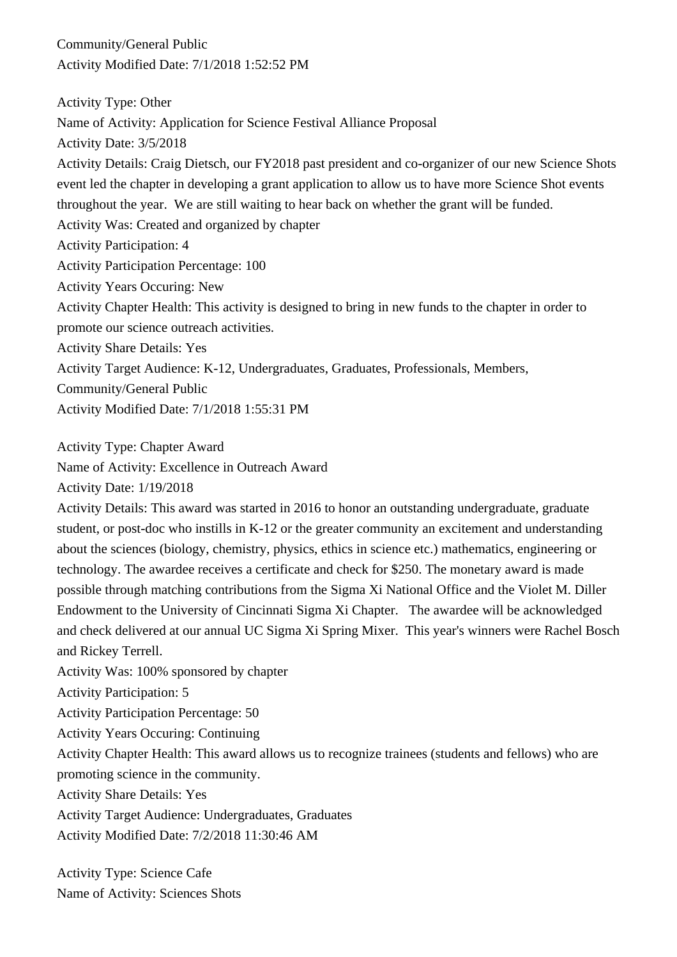Community/General Public Activity Modified Date: 7/1/2018 1:52:52 PM

Activity Type: Other Name of Activity: Application for Science Festival Alliance Proposal Activity Date: 3/5/2018 Activity Details: Craig Dietsch, our FY2018 past president and co-organizer of our new Science Shots event led the chapter in developing a grant application to allow us to have more Science Shot events throughout the year. We are still waiting to hear back on whether the grant will be funded. Activity Was: Created and organized by chapter Activity Participation: 4 Activity Participation Percentage: 100 Activity Years Occuring: New Activity Chapter Health: This activity is designed to bring in new funds to the chapter in order to promote our science outreach activities. Activity Share Details: Yes Activity Target Audience: K-12, Undergraduates, Graduates, Professionals, Members, Community/General Public Activity Modified Date: 7/1/2018 1:55:31 PM

Activity Type: Chapter Award

Name of Activity: Excellence in Outreach Award

Activity Date: 1/19/2018

Activity Details: This award was started in 2016 to honor an outstanding undergraduate, graduate student, or post-doc who instills in K-12 or the greater community an excitement and understanding about the sciences (biology, chemistry, physics, ethics in science etc.) mathematics, engineering or technology. The awardee receives a certificate and check for \$250. The monetary award is made possible through matching contributions from the Sigma Xi National Office and the Violet M. Diller Endowment to the University of Cincinnati Sigma Xi Chapter. The awardee will be acknowledged and check delivered at our annual UC Sigma Xi Spring Mixer. This year's winners were Rachel Bosch and Rickey Terrell.

Activity Was: 100% sponsored by chapter

Activity Participation: 5

Activity Participation Percentage: 50

Activity Years Occuring: Continuing

Activity Chapter Health: This award allows us to recognize trainees (students and fellows) who are promoting science in the community.

Activity Share Details: Yes

Activity Target Audience: Undergraduates, Graduates

Activity Modified Date: 7/2/2018 11:30:46 AM

Activity Type: Science Cafe Name of Activity: Sciences Shots